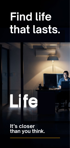# **Find life that lasts.**



**It's closer than you think.**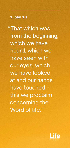"That which was from the beginning, which we have heard, which we have seen with our eyes, which we have looked at and our hands have touched – this we proclaim concerning the Word of life."

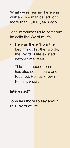What we're reading here was written by a man called John more than 1,900 years ago.

John introduces us to someone he calls **the Word of life.**

- He was there 'from the beginning'. In other words, the Word of life existed before time itself.
- This is someone John has also seen, heard and touched. He has known Him in person.

**Interested?** 

**John has more to say about this Word of life.**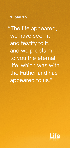"The life appeared; we have seen it and testify to it, and we proclaim to you the eternal life, which was with the Father and has appeared to us."

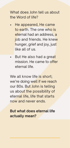What does John tell us about the Word of life?

- He appeared, He came to earth. The one who is eternal had an address, a job and friends. He knew hunger, grief and joy, just like all of us.
- But He also had a great mission. He came to offer eternal life.

We all know life is short: we're doing well if we reach our 80s. But John is telling us about the possibility of eternal life, life that starts now and never ends.

#### **But what does eternal life actually mean?**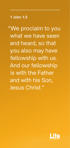"We proclaim to you what we have seen and heard, so that you also may have fellowship with us. And our fellowship is with the Father and with his Son, Jesus Christ."

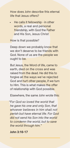How does John describe this eternal life that Jesus offers?

• He calls it fellowship - in other words, a real and personal friendship, with God the Father and His Son, Jesus Christ

How is that possible?

Deep down we probably know that we don't deserve to be friends with God. None of us are the people we ought to be.

But Jesus, the Word of life, came to earth, died on the cross and was raised from the dead. He did this to forgive all the ways we've rejected God and hurt other people, if we turn to Him. This is what makes the offer of relationship with God possible.

Elsewhere, the same John wrote this:

*"For God so loved the world that he gave his one and only Son, that whoever believes in him shall not perish but have eternal life. For God did not send his Son into the world to condemn the world, but to save the world through him."*

#### **John 3:16-17**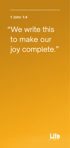"We write this to make our joy complete."

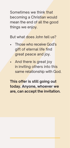Sometimes we think that becoming a Christian would mean the end of all the good things we enjoy.

But what does John tell us?

- Those who receive God's gift of eternal life find great peace and joy.
- And there is great joy in inviting others into this same relationship with God.

**This offer is still going out today. Anyone, whoever we are, can accept the invitation.**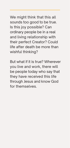We might think that this all sounds too good to be true. Is this joy possible? Can ordinary people be in a real and living relationship with their perfect Creator? Could life after death be more than wishful thinking?

But what if it is true? Wherever you live and work, there will be people today who say that they have received this life through Jesus and know God for themselves.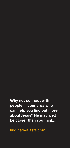**Why not connect with people in your area who can help you find out more about Jesus? He may well be closer than you think…** 

findlifethatlasts.com